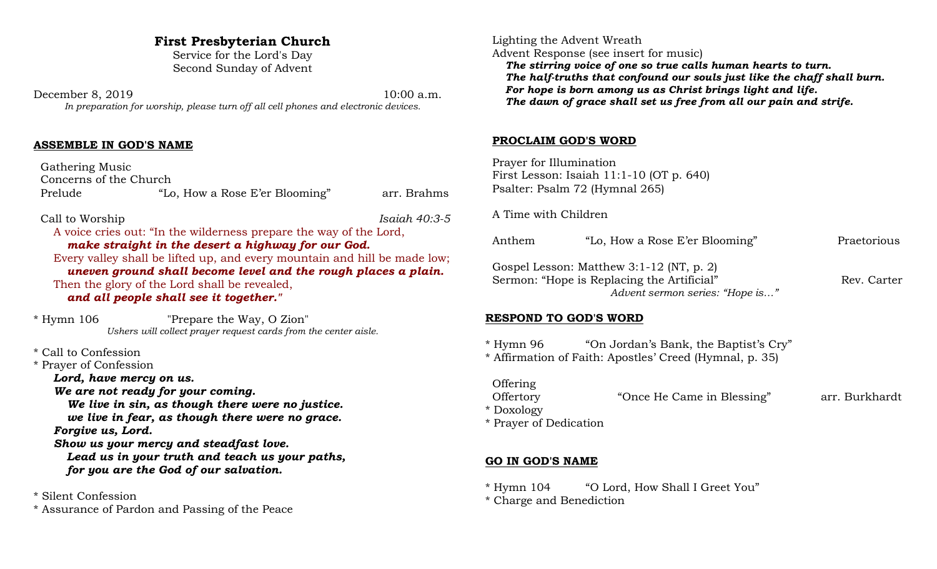# **First Presbyterian Church**

Service for the Lord's Day Second Sunday of Advent

December 8, 2019 10:00 a.m. *In preparation for worship, please turn off all cell phones and electronic devices.*

## **ASSEMBLE IN GOD'S NAME**

 Gathering Music Concerns of the Church Prelude "Lo, How a Rose E'er Blooming" arr. Brahms

Call to Worship *Isaiah 40:3-5*

A voice cries out: "In the wilderness prepare the way of the Lord, *make straight in the desert a highway for our God.*  Every valley shall be lifted up, and every mountain and hill be made low;

*uneven ground shall become level and the rough places a plain.*  Then the glory of the Lord shall be revealed, *and all people shall see it together."*

\* Hymn 106 "Prepare the Way, O Zion" *Ushers will collect prayer request cards from the center aisle.*

\* Call to Confession

\* Prayer of Confession

*Lord, have mercy on us.*

*We are not ready for your coming.*

*We live in sin, as though there were no justice. we live in fear, as though there were no grace. Forgive us, Lord.*

*Show us your mercy and steadfast love.*

*Lead us in your truth and teach us your paths, for you are the God of our salvation.*

\* Silent Confession

\* Assurance of Pardon and Passing of the Peace

 Lighting the Advent Wreath Advent Response (see insert for music)

*The stirring voice of one so true calls human hearts to turn. The half-truths that confound our souls just like the chaff shall burn. For hope is born among us as Christ brings light and life. The dawn of grace shall set us free from all our pain and strife.*

### **PROCLAIM GOD'S WORD**

 Prayer for Illumination First Lesson: Isaiah 11:1-10 (OT p. 640) Psalter: Psalm 72 (Hymnal 265)

A Time with Children

Anthem "Lo, How a Rose E'er Blooming" Praetorious Gospel Lesson: Matthew 3:1-12 (NT, p. 2) Sermon: "Hope is Replacing the Artificial" Rev. Carter *Advent sermon series: "Hope is…"*

#### **RESPOND TO GOD'S WORD**

\* Hymn 96 "On Jordan's Bank, the Baptist's Cry"

\* Affirmation of Faith: Apostles' Creed (Hymnal, p. 35)

 Offering Offertory "Once He Came in Blessing" arr. Burkhardt

\* Doxology

\* Prayer of Dedication

## **GO IN GOD'S NAME**

\* Hymn 104 "O Lord, How Shall I Greet You"

\* Charge and Benediction